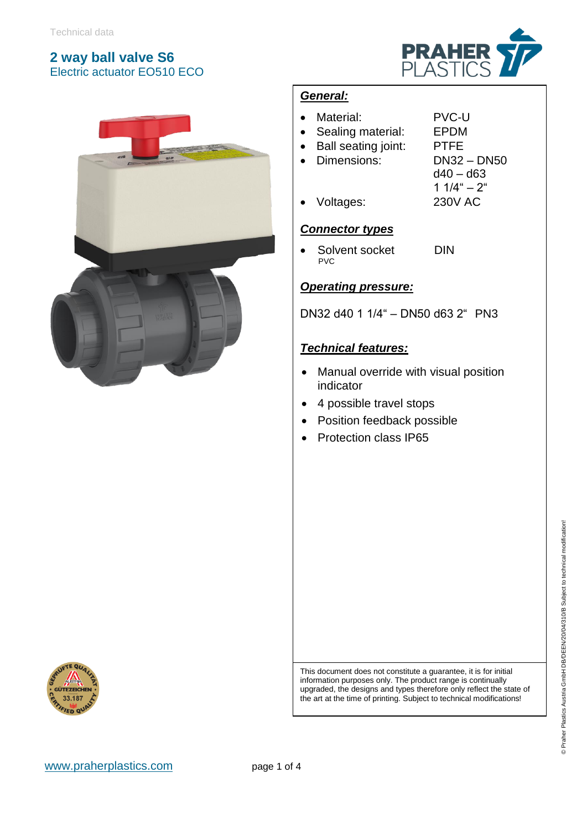



#### *General:*

- Material: PVC-U
- Sealing material: EPDM
- Ball seating joint: PTFE
- Dimensions: DN32 DN50
	- $d40 d63$ 1  $1/4$ " –  $2$ "
- Voltages: 230V AC

#### *Connector types*

• Solvent socket DIN PVC

#### *Operating pressure:*

DN32 d40 1 1/4" – DN50 d63 2" PN3

#### *Technical features:*

- Manual override with visual position indicator
- 4 possible travel stops
- Position feedback possible
- Protection class IP65



This document does not constitute a guarantee, it is for initial information purposes only. The product range is continually upgraded, the designs and types therefore only reflect the state of the art at the time of printing. Subject to technical modifications!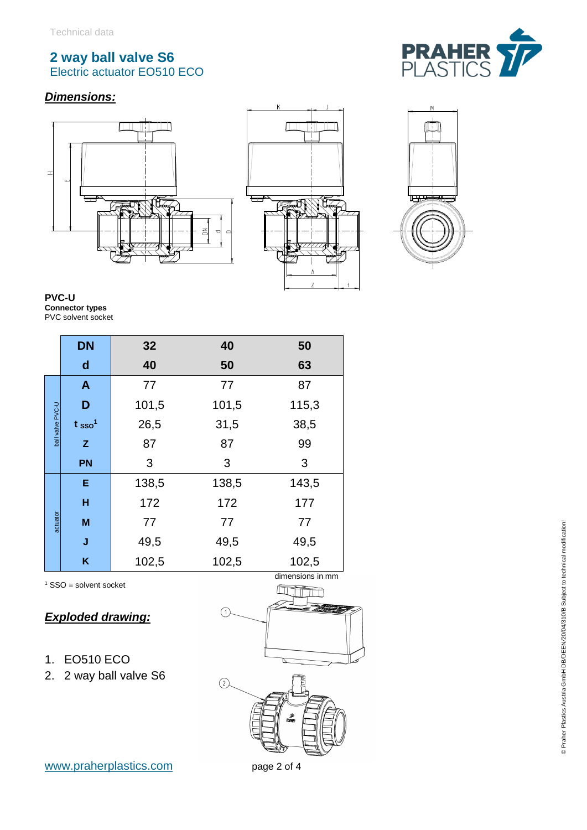## *Dimensions :*









**PVC - U Connector types** PVC solvent socket

|                  | <b>DN</b>                     | 32    | 40    | 50    |
|------------------|-------------------------------|-------|-------|-------|
|                  | $\mathsf{d}$                  | 40    | 50    | 63    |
| ball valve PVC-U | $\mathbf{A}$                  | 77    | 77    | 87    |
|                  | D                             | 101,5 | 101,5 | 115,3 |
|                  | t <sub>sso</sub> <sup>1</sup> | 26,5  | 31,5  | 38,5  |
|                  | Z.                            | 87    | 87    | 99    |
|                  | <b>PN</b>                     | 3     | 3     | 3     |
| actuator         | E                             | 138,5 | 138,5 | 143,5 |
|                  | н                             | 172   | 172   | 177   |
|                  | M                             | 77    | 77    | 77    |
|                  | J                             | 49,5  | 49,5  | 49,5  |
|                  | K                             | 102,5 | 102,5 | 102,5 |

 $1$  SSO = solvent socket

#### *Exploded drawing :*

- 1. EO510 ECO
- 2. 2 way ball valve S6





© Praher Plastics Austria GmbH DB*/*DEEN*/*20/04/310/B Subject to technical modification!

© Praher Plastics Austria GmbH DB/DEEN/20/04/310/B Subject to technical modification!

m page 2 of 4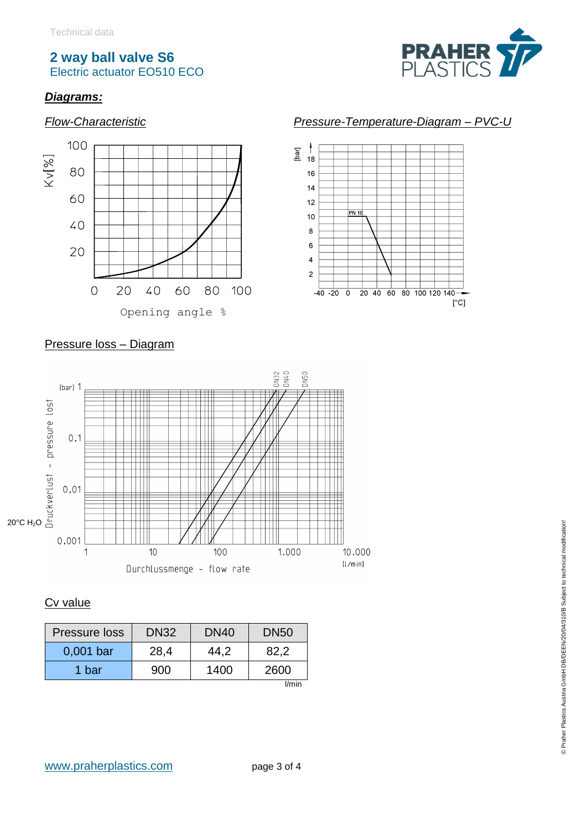

 $\rm [^\circ C]$ 

## *Diagrams:*



#### Pressure loss – Diagram



## Cv value

| Pressure loss | DN <sub>32</sub> | DN <sub>40</sub> | <b>DN50</b> |  |
|---------------|------------------|------------------|-------------|--|
| 0,001 bar     | 28.4             | 44.2             | 82.2        |  |
| 1 bar         | 900              | 1400             | 2600        |  |
| $1/m$ in      |                  |                  |             |  |

l/min

# *Flow-Characteristic Pressure-Temperature-Diagram – PVC-U*